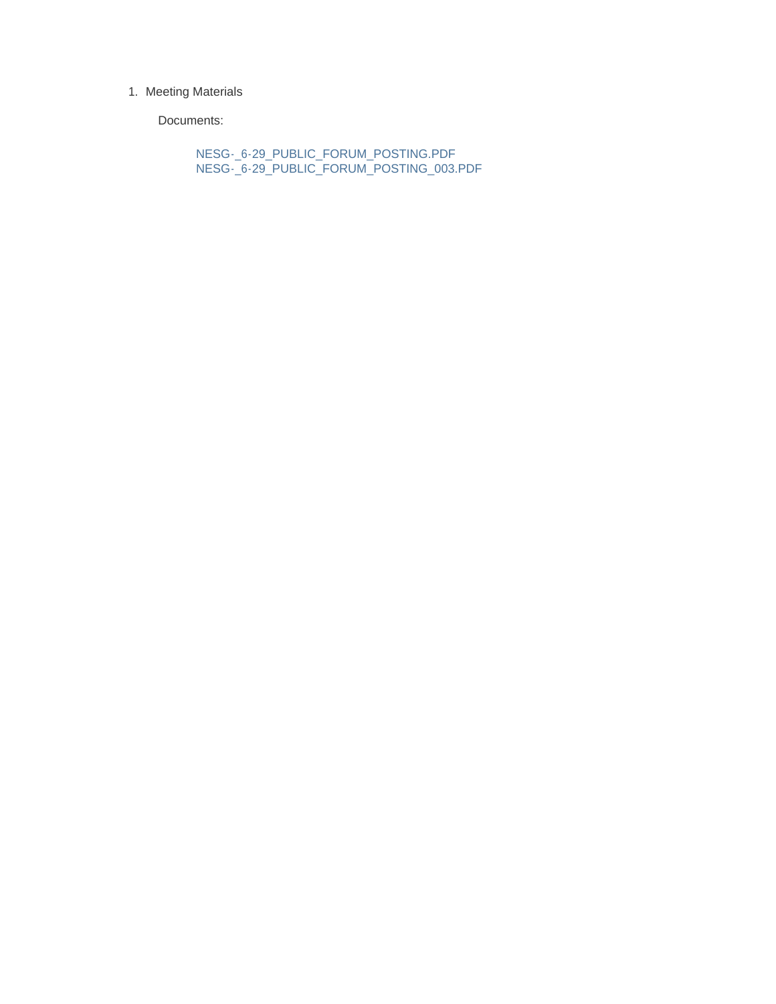#### 1. Meeting Materials

Documents:

NESG-\_6-29\_PUBLIC\_FORUM\_POSTING.PDF NESG-\_6-29\_PUBLIC\_FORUM\_POSTING\_003.PDF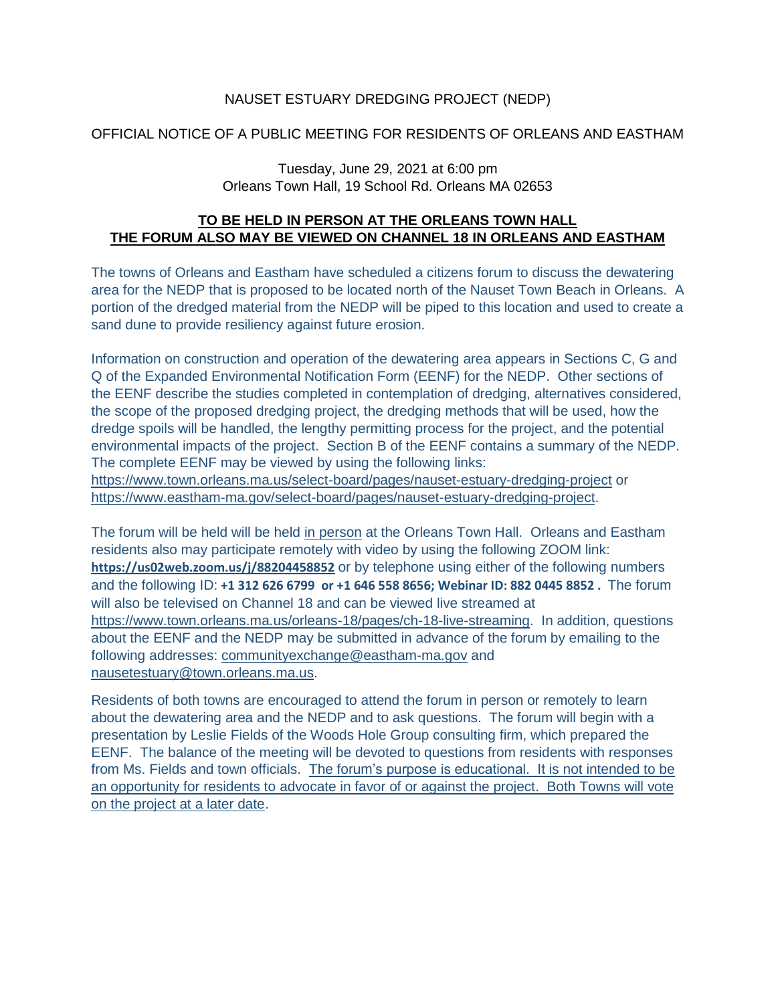### NAUSET ESTUARY DREDGING PROJECT (NEDP)

## OFFICIAL NOTICE OF A PUBLIC MEETING FOR RESIDENTS OF ORLEANS AND EASTHAM

#### Tuesday, June 29, 2021 at 6:00 pm Orleans Town Hall, 19 School Rd. Orleans MA 02653

## **TO BE HELD IN PERSON AT THE ORLEANS TOWN HALL THE FORUM ALSO MAY BE VIEWED ON CHANNEL 18 IN ORLEANS AND EASTHAM**

The towns of Orleans and Eastham have scheduled a citizens forum to discuss the dewatering area for the NEDP that is proposed to be located north of the Nauset Town Beach in Orleans. A portion of the dredged material from the NEDP will be piped to this location and used to create a sand dune to provide resiliency against future erosion.

Information on construction and operation of the dewatering area appears in Sections C, G and Q of the Expanded Environmental Notification Form (EENF) for the NEDP. Other sections of the EENF describe the studies completed in contemplation of dredging, alternatives considered, the scope of the proposed dredging project, the dredging methods that will be used, how the dredge spoils will be handled, the lengthy permitting process for the project, and the potential environmental impacts of the project. Section B of the EENF contains a summary of the NEDP. The complete EENF may be viewed by using the following links:

<https://www.town.orleans.ma.us/select-board/pages/nauset-estuary-dredging-project> or [https://www.eastham-ma.gov/select-board/pages/nauset-estuary-dredging-project.](https://www.eastham-ma.gov/select-board/pages/nauset-estuary-dredging-project)

The forum will be held will be held in person at the Orleans Town Hall. Orleans and Eastham residents also may participate remotely with video by using the following ZOOM link: **<https://us02web.zoom.us/j/88204458852>** or by telephone using either of the following numbers and the following ID: **+1 312 626 6799 or +1 646 558 8656; Webinar ID: 882 0445 8852 .** The forum will also be televised on Channel 18 and can be viewed live streamed at [https://www.town.orleans.ma.us/orleans-18/pages/ch-18-live-streaming.](https://www.town.orleans.ma.us/orleans-18/pages/ch-18-live-streaming) In addition, questions about the EENF and the NEDP may be submitted in advance of the forum by emailing to the following addresses: [communityexchange@eastham-ma.gov](mailto:communityexchange@eastham-ma.gov) and [nausetestuary@town.orleans.ma.us.](mailto:nausetestuary@town.orleans.ma.us)

Residents of both towns are encouraged to attend the forum in person or remotely to learn about the dewatering area and the NEDP and to ask questions. The forum will begin with a presentation by Leslie Fields of the Woods Hole Group consulting firm, which prepared the EENF. The balance of the meeting will be devoted to questions from residents with responses from Ms. Fields and town officials. The forum's purpose is educational. It is not intended to be an opportunity for residents to advocate in favor of or against the project. Both Towns will vote on the project at a later date.